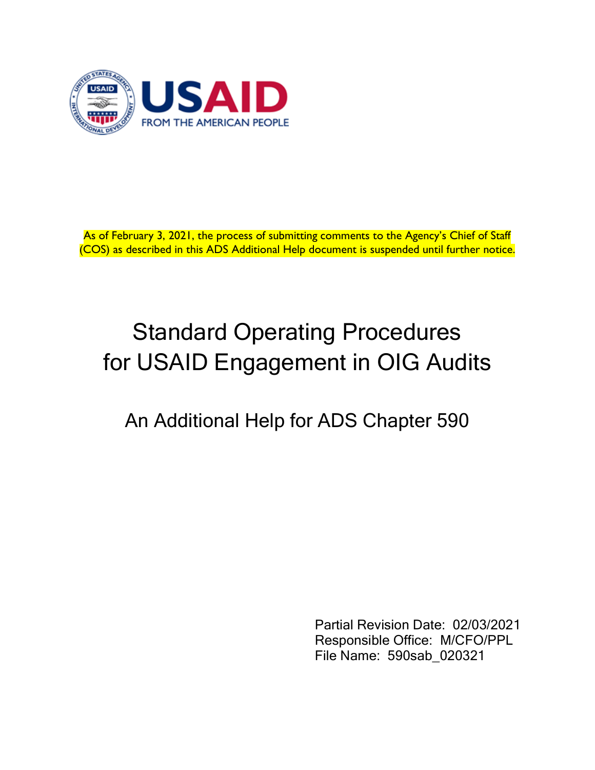

As of February 3, 2021, the process of submitting comments to the Agency's Chief of Staff (COS) as described in this ADS Additional Help document is suspended until further notice.

# Standard Operating Procedures for USAID Engagement in OIG Audits

# An Additional Help for ADS Chapter 590

Partial Revision Date: 02/03/2021 Responsible Office: M/CFO/PPL File Name: 590sab\_020321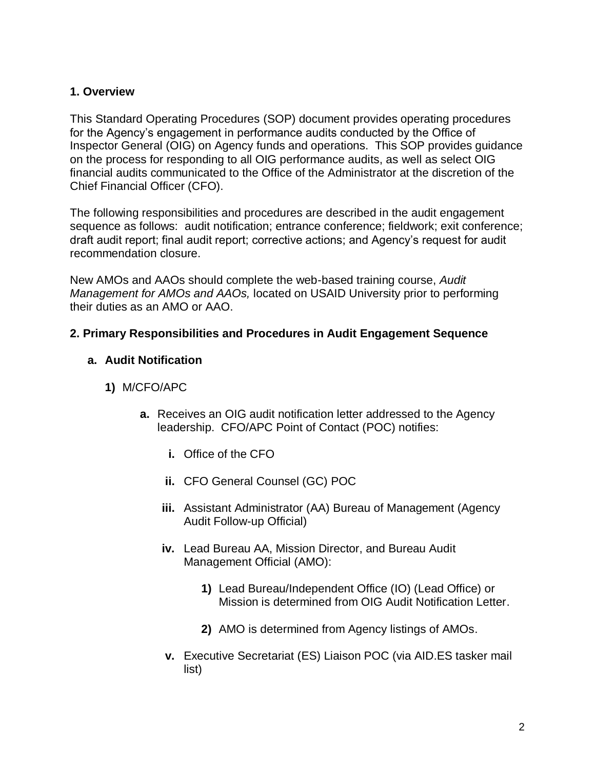#### **1. Overview**

This Standard Operating Procedures (SOP) document provides operating procedures for the Agency's engagement in performance audits conducted by the Office of Inspector General (OIG) on Agency funds and operations. This SOP provides guidance on the process for responding to all OIG performance audits, as well as select OIG financial audits communicated to the Office of the Administrator at the discretion of the Chief Financial Officer (CFO).

The following responsibilities and procedures are described in the audit engagement sequence as follows: audit notification; entrance conference; fieldwork; exit conference; draft audit report; final audit report; corrective actions; and Agency's request for audit recommendation closure.

New AMOs and AAOs should complete the web-based training course, *Audit Management for AMOs and AAOs,* located on USAID University prior to performing their duties as an AMO or AAO.

#### **2. Primary Responsibilities and Procedures in Audit Engagement Sequence**

#### **a. Audit Notification**

- **1)** M/CFO/APC
	- **a.** Receives an OIG audit notification letter addressed to the Agency leadership. CFO/APC Point of Contact (POC) notifies:
		- **i.** Office of the CFO
		- **ii.** CFO General Counsel (GC) POC
		- **iii.** Assistant Administrator (AA) Bureau of Management (Agency Audit Follow-up Official)
		- **iv.** Lead Bureau AA, Mission Director, and Bureau Audit Management Official (AMO):
			- **1)** Lead Bureau/Independent Office (IO) (Lead Office) or Mission is determined from OIG Audit Notification Letter.
			- **2)** AMO is determined from Agency listings of AMOs.
		- **v.** Executive Secretariat (ES) Liaison POC (via AID.ES tasker mail list)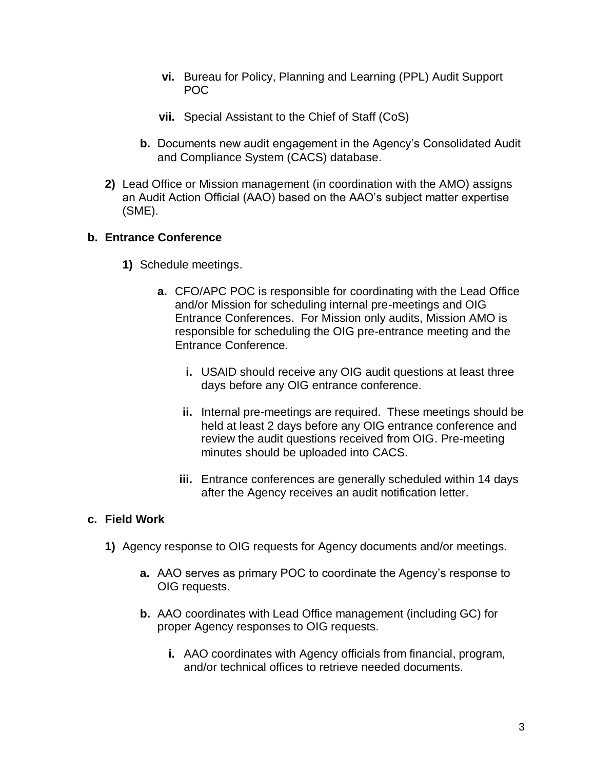- **vi.** Bureau for Policy, Planning and Learning (PPL) Audit Support POC
- **vii.** Special Assistant to the Chief of Staff (CoS)
- **b.** Documents new audit engagement in the Agency's Consolidated Audit and Compliance System (CACS) database.
- **2)** Lead Office or Mission management (in coordination with the AMO) assigns an Audit Action Official (AAO) based on the AAO's subject matter expertise (SME).

#### **b. Entrance Conference**

- **1)** Schedule meetings.
	- **a.** CFO/APC POC is responsible for coordinating with the Lead Office and/or Mission for scheduling internal pre-meetings and OIG Entrance Conferences. For Mission only audits, Mission AMO is responsible for scheduling the OIG pre-entrance meeting and the Entrance Conference.
		- **i.** USAID should receive any OIG audit questions at least three days before any OIG entrance conference.
		- **ii.** Internal pre-meetings are required. These meetings should be held at least 2 days before any OIG entrance conference and review the audit questions received from OIG. Pre-meeting minutes should be uploaded into CACS.
		- **iii.** Entrance conferences are generally scheduled within 14 days after the Agency receives an audit notification letter.

#### **c. Field Work**

- **1)** Agency response to OIG requests for Agency documents and/or meetings.
	- **a.** AAO serves as primary POC to coordinate the Agency's response to OIG requests.
	- **b.** AAO coordinates with Lead Office management (including GC) for proper Agency responses to OIG requests.
		- **i.** AAO coordinates with Agency officials from financial, program, and/or technical offices to retrieve needed documents.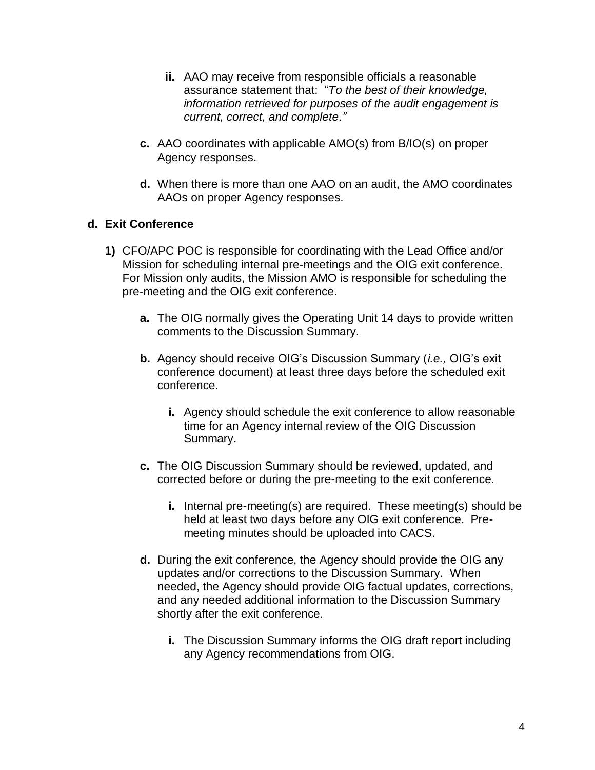- **ii.** AAO may receive from responsible officials a reasonable assurance statement that: "*To the best of their knowledge, information retrieved for purposes of the audit engagement is current, correct, and complete."*
- **c.** AAO coordinates with applicable AMO(s) from B/IO(s) on proper Agency responses.
- **d.** When there is more than one AAO on an audit, the AMO coordinates AAOs on proper Agency responses.

#### **d. Exit Conference**

- **1)** CFO/APC POC is responsible for coordinating with the Lead Office and/or Mission for scheduling internal pre-meetings and the OIG exit conference. For Mission only audits, the Mission AMO is responsible for scheduling the pre-meeting and the OIG exit conference.
	- **a.** The OIG normally gives the Operating Unit 14 days to provide written comments to the Discussion Summary.
	- **b.** Agency should receive OIG's Discussion Summary (*i.e.,* OIG's exit conference document) at least three days before the scheduled exit conference.
		- **i.** Agency should schedule the exit conference to allow reasonable time for an Agency internal review of the OIG Discussion Summary.
	- **c.** The OIG Discussion Summary should be reviewed, updated, and corrected before or during the pre-meeting to the exit conference.
		- **i.** Internal pre-meeting(s) are required. These meeting(s) should be held at least two days before any OIG exit conference. Premeeting minutes should be uploaded into CACS.
	- **d.** During the exit conference, the Agency should provide the OIG any updates and/or corrections to the Discussion Summary. When needed, the Agency should provide OIG factual updates, corrections, and any needed additional information to the Discussion Summary shortly after the exit conference.
		- **i.** The Discussion Summary informs the OIG draft report including any Agency recommendations from OIG.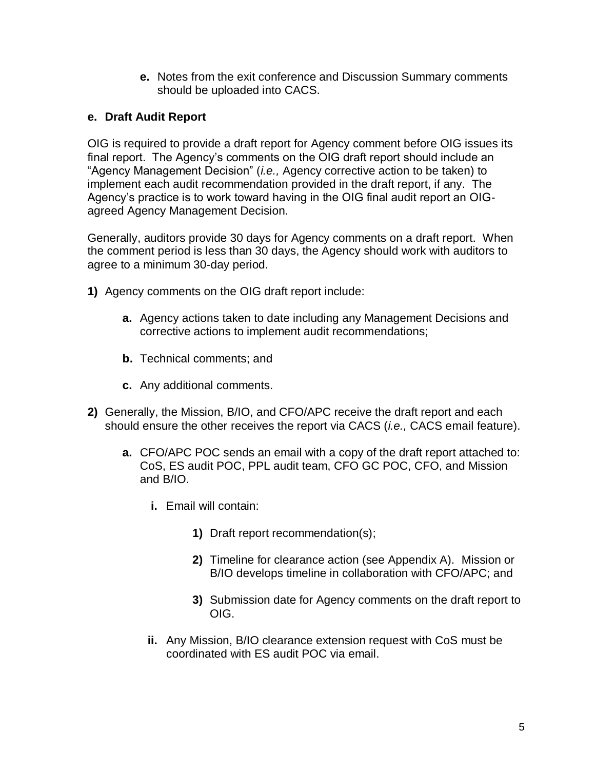**e.** Notes from the exit conference and Discussion Summary comments should be uploaded into CACS.

#### **e. Draft Audit Report**

OIG is required to provide a draft report for Agency comment before OIG issues its final report. The Agency's comments on the OIG draft report should include an "Agency Management Decision" (*i.e.,* Agency corrective action to be taken) to implement each audit recommendation provided in the draft report, if any. The Agency's practice is to work toward having in the OIG final audit report an OIGagreed Agency Management Decision.

Generally, auditors provide 30 days for Agency comments on a draft report. When the comment period is less than 30 days, the Agency should work with auditors to agree to a minimum 30-day period.

- **1)** Agency comments on the OIG draft report include:
	- **a.** Agency actions taken to date including any Management Decisions and corrective actions to implement audit recommendations;
	- **b.** Technical comments; and
	- **c.** Any additional comments.
- **2)** Generally, the Mission, B/IO, and CFO/APC receive the draft report and each should ensure the other receives the report via CACS (*i.e.,* CACS email feature).
	- **a.** CFO/APC POC sends an email with a copy of the draft report attached to: CoS, ES audit POC, PPL audit team, CFO GC POC, CFO, and Mission and B/IO.
		- **i.** Email will contain:
			- **1)** Draft report recommendation(s);
			- **2)** Timeline for clearance action (see Appendix A). Mission or B/IO develops timeline in collaboration with CFO/APC; and
			- **3)** Submission date for Agency comments on the draft report to OIG.
		- **ii.** Any Mission, B/IO clearance extension request with CoS must be coordinated with ES audit POC via email.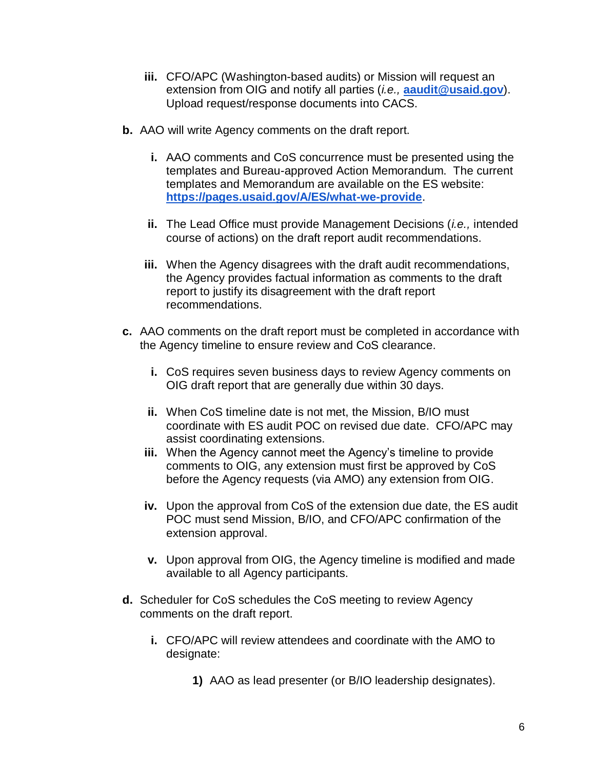- **iii.** CFO/APC (Washington-based audits) or Mission will request an extension from OIG and notify all parties (*i.e.,* **[aaudit@usaid.gov](mailto:aaudit@usaid.gov)**). Upload request/response documents into CACS.
- **b.** AAO will write Agency comments on the draft report.
	- **i.** AAO comments and CoS concurrence must be presented using the templates and Bureau-approved Action Memorandum. The current templates and Memorandum are available on the ES website: **<https://pages.usaid.gov/A/ES/what-we-provide>**.
	- **ii.** The Lead Office must provide Management Decisions (*i.e.,* intended course of actions) on the draft report audit recommendations.
	- **iii.** When the Agency disagrees with the draft audit recommendations, the Agency provides factual information as comments to the draft report to justify its disagreement with the draft report recommendations.
- **c.** AAO comments on the draft report must be completed in accordance with the Agency timeline to ensure review and CoS clearance.
	- **i.** CoS requires seven business days to review Agency comments on OIG draft report that are generally due within 30 days.
	- **ii.** When CoS timeline date is not met, the Mission, B/IO must coordinate with ES audit POC on revised due date. CFO/APC may assist coordinating extensions.
	- **iii.** When the Agency cannot meet the Agency's timeline to provide comments to OIG, any extension must first be approved by CoS before the Agency requests (via AMO) any extension from OIG.
	- **iv.** Upon the approval from CoS of the extension due date, the ES audit POC must send Mission, B/IO, and CFO/APC confirmation of the extension approval.
	- **v.** Upon approval from OIG, the Agency timeline is modified and made available to all Agency participants.
- **d.** Scheduler for CoS schedules the CoS meeting to review Agency comments on the draft report.
	- **i.** CFO/APC will review attendees and coordinate with the AMO to designate:
		- **1)** AAO as lead presenter (or B/IO leadership designates).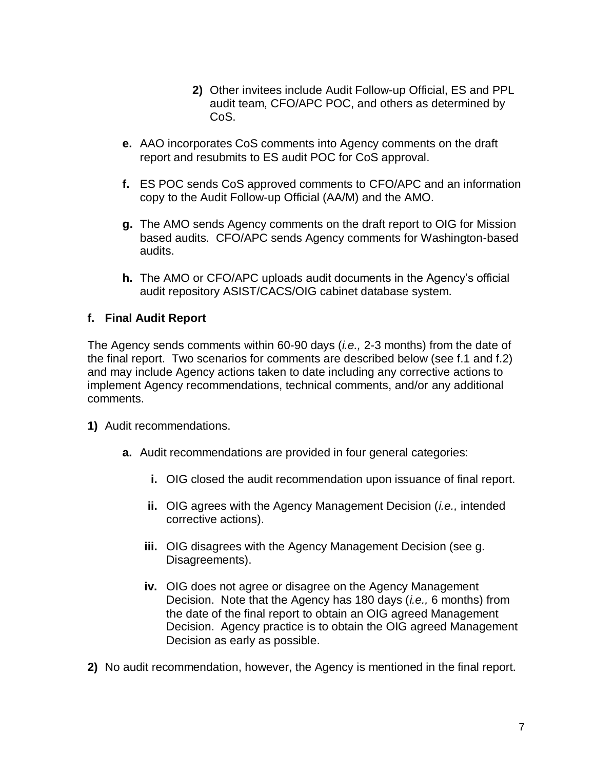- **2)** Other invitees include Audit Follow-up Official, ES and PPL audit team, CFO/APC POC, and others as determined by CoS.
- **e.** AAO incorporates CoS comments into Agency comments on the draft report and resubmits to ES audit POC for CoS approval.
- **f.** ES POC sends CoS approved comments to CFO/APC and an information copy to the Audit Follow-up Official (AA/M) and the AMO.
- **g.** The AMO sends Agency comments on the draft report to OIG for Mission based audits. CFO/APC sends Agency comments for Washington-based audits.
- **h.** The AMO or CFO/APC uploads audit documents in the Agency's official audit repository ASIST/CACS/OIG cabinet database system.

#### **f. Final Audit Report**

The Agency sends comments within 60-90 days (*i.e.,* 2-3 months) from the date of the final report. Two scenarios for comments are described below (see f.1 and f.2) and may include Agency actions taken to date including any corrective actions to implement Agency recommendations, technical comments, and/or any additional comments.

- **1)** Audit recommendations.
	- **a.** Audit recommendations are provided in four general categories:
		- **i.** OIG closed the audit recommendation upon issuance of final report.
		- **ii.** OIG agrees with the Agency Management Decision (*i.e.,* intended corrective actions).
		- **iii.** OIG disagrees with the Agency Management Decision (see g. Disagreements).
		- **iv.** OIG does not agree or disagree on the Agency Management Decision. Note that the Agency has 180 days (*i.e.,* 6 months) from the date of the final report to obtain an OIG agreed Management Decision. Agency practice is to obtain the OIG agreed Management Decision as early as possible.
- **2)** No audit recommendation, however, the Agency is mentioned in the final report.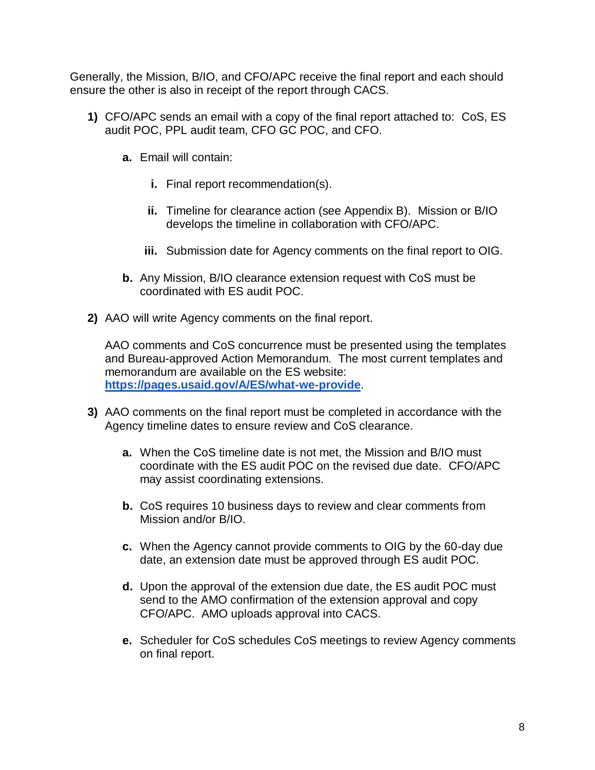Generally, the Mission, B/IO, and CFO/APC receive the final report and each should ensure the other is also in receipt of the report through CACS.

- **1)** CFO/APC sends an email with a copy of the final report attached to: CoS, ES audit POC, PPL audit team, CFO GC POC, and CFO.
	- **a.** Email will contain:
		- **i.** Final report recommendation(s).
		- **ii.** Timeline for clearance action (see Appendix B). Mission or B/IO develops the timeline in collaboration with CFO/APC.
		- **iii.** Submission date for Agency comments on the final report to OIG.
	- **b.** Any Mission, B/IO clearance extension request with CoS must be coordinated with ES audit POC.
- **2)** AAO will write Agency comments on the final report.

AAO comments and CoS concurrence must be presented using the templates and Bureau-approved Action Memorandum. The most current templates and memorandum are available on the ES website: **<https://pages.usaid.gov/A/ES/what-we-provide>**.

- **3)** AAO comments on the final report must be completed in accordance with the Agency timeline dates to ensure review and CoS clearance.
	- **a.** When the CoS timeline date is not met, the Mission and B/IO must coordinate with the ES audit POC on the revised due date. CFO/APC may assist coordinating extensions.
	- **b.** CoS requires 10 business days to review and clear comments from Mission and/or B/IO.
	- **c.** When the Agency cannot provide comments to OIG by the 60-day due date, an extension date must be approved through ES audit POC.
	- **d.** Upon the approval of the extension due date, the ES audit POC must send to the AMO confirmation of the extension approval and copy CFO/APC. AMO uploads approval into CACS.
	- **e.** Scheduler for CoS schedules CoS meetings to review Agency comments on final report.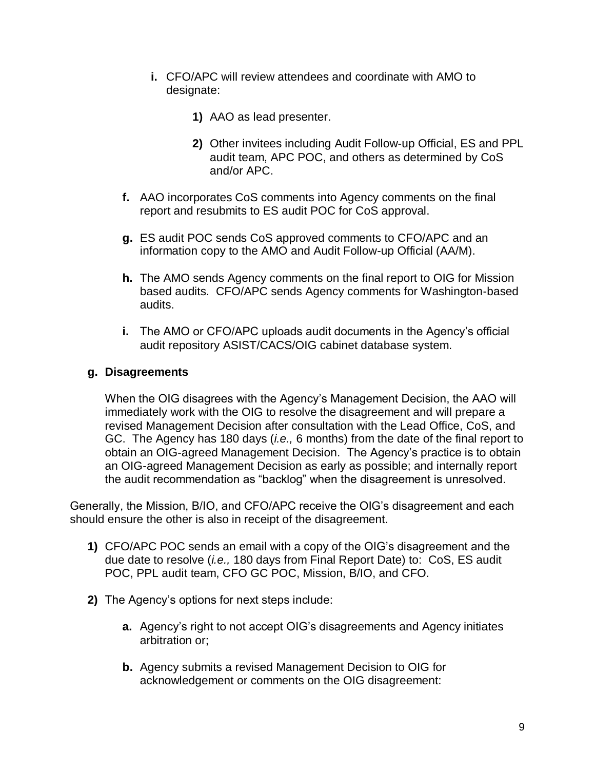- **i.** CFO/APC will review attendees and coordinate with AMO to designate:
	- **1)** AAO as lead presenter.
	- **2)** Other invitees including Audit Follow-up Official, ES and PPL audit team, APC POC, and others as determined by CoS and/or APC.
- **f.** AAO incorporates CoS comments into Agency comments on the final report and resubmits to ES audit POC for CoS approval.
- **g.** ES audit POC sends CoS approved comments to CFO/APC and an information copy to the AMO and Audit Follow-up Official (AA/M).
- **h.** The AMO sends Agency comments on the final report to OIG for Mission based audits. CFO/APC sends Agency comments for Washington-based audits.
- **i.** The AMO or CFO/APC uploads audit documents in the Agency's official audit repository ASIST/CACS/OIG cabinet database system.

#### **g. Disagreements**

When the OIG disagrees with the Agency's Management Decision, the AAO will immediately work with the OIG to resolve the disagreement and will prepare a revised Management Decision after consultation with the Lead Office, CoS, and GC. The Agency has 180 days (*i.e.,* 6 months) from the date of the final report to obtain an OIG-agreed Management Decision. The Agency's practice is to obtain an OIG-agreed Management Decision as early as possible; and internally report the audit recommendation as "backlog" when the disagreement is unresolved.

Generally, the Mission, B/IO, and CFO/APC receive the OIG's disagreement and each should ensure the other is also in receipt of the disagreement.

- **1)** CFO/APC POC sends an email with a copy of the OIG's disagreement and the due date to resolve (*i.e.,* 180 days from Final Report Date) to: CoS, ES audit POC, PPL audit team, CFO GC POC, Mission, B/IO, and CFO.
- **2)** The Agency's options for next steps include:
	- **a.** Agency's right to not accept OIG's disagreements and Agency initiates arbitration or;
	- **b.** Agency submits a revised Management Decision to OIG for acknowledgement or comments on the OIG disagreement: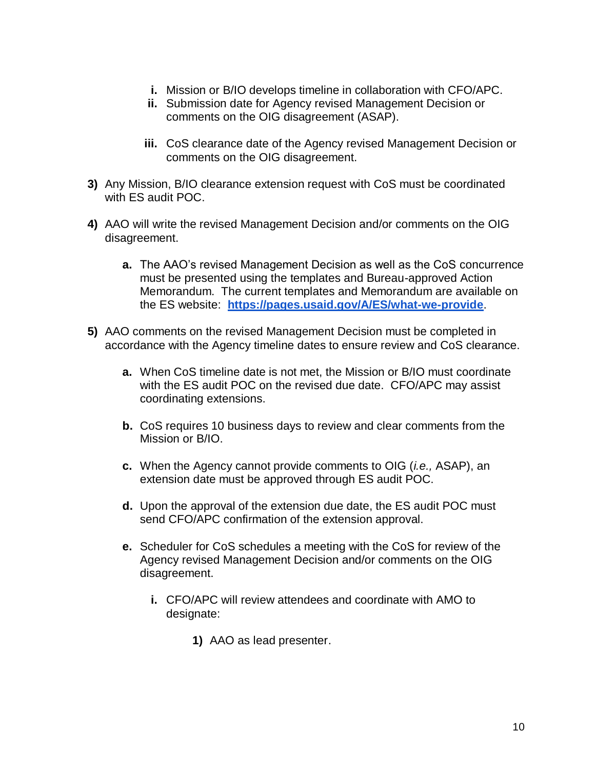- **i.** Mission or B/IO develops timeline in collaboration with CFO/APC.
- **ii.** Submission date for Agency revised Management Decision or comments on the OIG disagreement (ASAP).
- **iii.** CoS clearance date of the Agency revised Management Decision or comments on the OIG disagreement.
- **3)** Any Mission, B/IO clearance extension request with CoS must be coordinated with ES audit POC.
- **4)** AAO will write the revised Management Decision and/or comments on the OIG disagreement.
	- **a.** The AAO's revised Management Decision as well as the CoS concurrence must be presented using the templates and Bureau-approved Action Memorandum. The current templates and Memorandum are available on the ES website: **<https://pages.usaid.gov/A/ES/what-we-provide>**.
- **5)** AAO comments on the revised Management Decision must be completed in accordance with the Agency timeline dates to ensure review and CoS clearance.
	- **a.** When CoS timeline date is not met, the Mission or B/IO must coordinate with the ES audit POC on the revised due date. CFO/APC may assist coordinating extensions.
	- **b.** CoS requires 10 business days to review and clear comments from the Mission or B/IO.
	- **c.** When the Agency cannot provide comments to OIG (*i.e.,* ASAP), an extension date must be approved through ES audit POC.
	- **d.** Upon the approval of the extension due date, the ES audit POC must send CFO/APC confirmation of the extension approval.
	- **e.** Scheduler for CoS schedules a meeting with the CoS for review of the Agency revised Management Decision and/or comments on the OIG disagreement.
		- **i.** CFO/APC will review attendees and coordinate with AMO to designate:
			- **1)** AAO as lead presenter.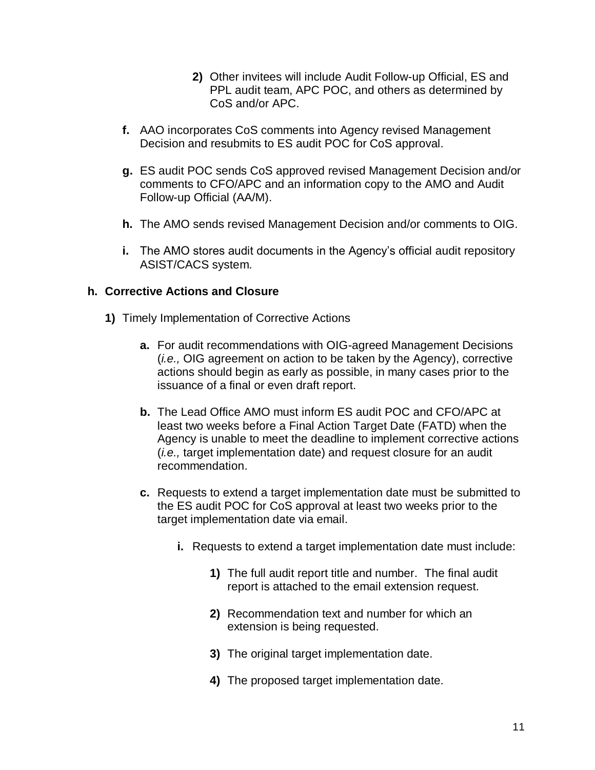- **2)** Other invitees will include Audit Follow-up Official, ES and PPL audit team, APC POC, and others as determined by CoS and/or APC.
- **f.** AAO incorporates CoS comments into Agency revised Management Decision and resubmits to ES audit POC for CoS approval.
- **g.** ES audit POC sends CoS approved revised Management Decision and/or comments to CFO/APC and an information copy to the AMO and Audit Follow-up Official (AA/M).
- **h.** The AMO sends revised Management Decision and/or comments to OIG.
- **i.** The AMO stores audit documents in the Agency's official audit repository ASIST/CACS system.

#### **h. Corrective Actions and Closure**

- **1)** Timely Implementation of Corrective Actions
	- **a.** For audit recommendations with OIG-agreed Management Decisions (*i.e.,* OIG agreement on action to be taken by the Agency), corrective actions should begin as early as possible, in many cases prior to the issuance of a final or even draft report.
	- **b.** The Lead Office AMO must inform ES audit POC and CFO/APC at least two weeks before a Final Action Target Date (FATD) when the Agency is unable to meet the deadline to implement corrective actions (*i.e.,* target implementation date) and request closure for an audit recommendation.
	- **c.** Requests to extend a target implementation date must be submitted to the ES audit POC for CoS approval at least two weeks prior to the target implementation date via email.
		- **i.** Requests to extend a target implementation date must include:
			- **1)** The full audit report title and number. The final audit report is attached to the email extension request.
			- **2)** Recommendation text and number for which an extension is being requested.
			- **3)** The original target implementation date.
			- **4)** The proposed target implementation date.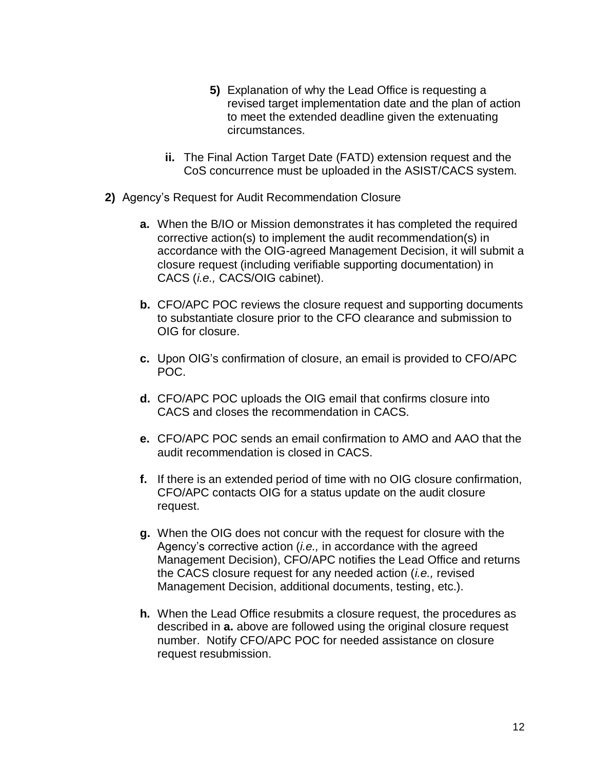- **5)** Explanation of why the Lead Office is requesting a revised target implementation date and the plan of action to meet the extended deadline given the extenuating circumstances.
- **ii.** The Final Action Target Date (FATD) extension request and the CoS concurrence must be uploaded in the ASIST/CACS system.
- **2)** Agency's Request for Audit Recommendation Closure
	- **a.** When the B/IO or Mission demonstrates it has completed the required corrective action(s) to implement the audit recommendation(s) in accordance with the OIG-agreed Management Decision, it will submit a closure request (including verifiable supporting documentation) in CACS (*i.e.,* CACS/OIG cabinet).
	- **b.** CFO/APC POC reviews the closure request and supporting documents to substantiate closure prior to the CFO clearance and submission to OIG for closure.
	- **c.** Upon OIG's confirmation of closure, an email is provided to CFO/APC POC.
	- **d.** CFO/APC POC uploads the OIG email that confirms closure into CACS and closes the recommendation in CACS.
	- **e.** CFO/APC POC sends an email confirmation to AMO and AAO that the audit recommendation is closed in CACS.
	- **f.** If there is an extended period of time with no OIG closure confirmation, CFO/APC contacts OIG for a status update on the audit closure request.
	- **g.** When the OIG does not concur with the request for closure with the Agency's corrective action (*i.e.,* in accordance with the agreed Management Decision), CFO/APC notifies the Lead Office and returns the CACS closure request for any needed action (*i.e.,* revised Management Decision, additional documents, testing, etc.).
	- **h.** When the Lead Office resubmits a closure request, the procedures as described in **a.** above are followed using the original closure request number. Notify CFO/APC POC for needed assistance on closure request resubmission.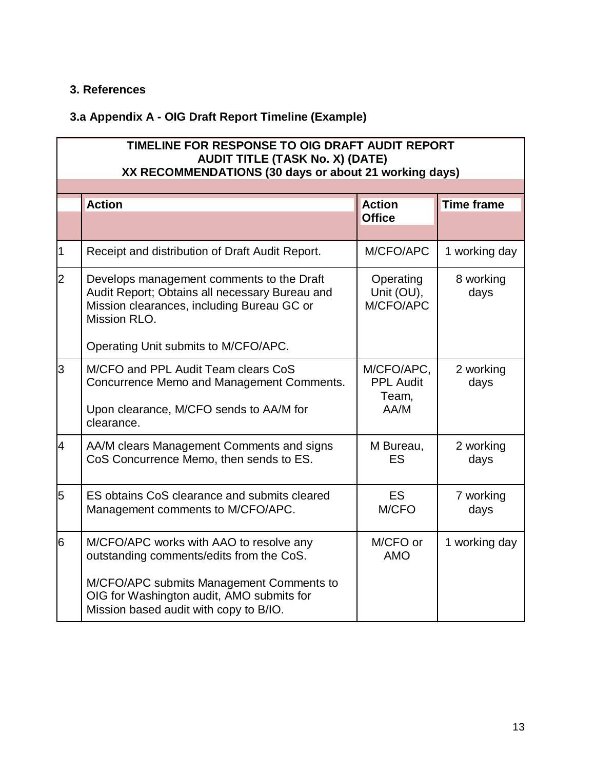#### **3. References**

## **3.a Appendix A - OIG Draft Report Timeline (Example)**

| TIMELINE FOR RESPONSE TO OIG DRAFT AUDIT REPORT<br><b>AUDIT TITLE (TASK No. X) (DATE)</b><br>XX RECOMMENDATIONS (30 days or about 21 working days) |                                                                                                                                                                                                                        |                                                 |                   |  |
|----------------------------------------------------------------------------------------------------------------------------------------------------|------------------------------------------------------------------------------------------------------------------------------------------------------------------------------------------------------------------------|-------------------------------------------------|-------------------|--|
|                                                                                                                                                    | <b>Action</b>                                                                                                                                                                                                          | <b>Action</b>                                   | <b>Time frame</b> |  |
|                                                                                                                                                    |                                                                                                                                                                                                                        | <b>Office</b>                                   |                   |  |
| 1                                                                                                                                                  | Receipt and distribution of Draft Audit Report.                                                                                                                                                                        | M/CFO/APC                                       | 1 working day     |  |
| $\overline{2}$                                                                                                                                     | Develops management comments to the Draft<br>Audit Report; Obtains all necessary Bureau and<br>Mission clearances, including Bureau GC or<br>Mission RLO.                                                              | Operating<br>Unit (OU),<br>M/CFO/APC            | 8 working<br>days |  |
|                                                                                                                                                    | Operating Unit submits to M/CFO/APC.                                                                                                                                                                                   |                                                 |                   |  |
| 3                                                                                                                                                  | M/CFO and PPL Audit Team clears CoS<br>Concurrence Memo and Management Comments.<br>Upon clearance, M/CFO sends to AA/M for<br>clearance.                                                                              | M/CFO/APC,<br><b>PPL Audit</b><br>Team,<br>AA/M | 2 working<br>days |  |
| 4                                                                                                                                                  | AA/M clears Management Comments and signs<br>CoS Concurrence Memo, then sends to ES.                                                                                                                                   | M Bureau,<br>ES                                 | 2 working<br>days |  |
| 5                                                                                                                                                  | ES obtains CoS clearance and submits cleared<br>Management comments to M/CFO/APC.                                                                                                                                      | <b>ES</b><br>M/CFO                              | 7 working<br>days |  |
| 6                                                                                                                                                  | M/CFO/APC works with AAO to resolve any<br>outstanding comments/edits from the CoS.<br>M/CFO/APC submits Management Comments to<br>OIG for Washington audit, AMO submits for<br>Mission based audit with copy to B/IO. | M/CFO or<br><b>AMO</b>                          | 1 working day     |  |